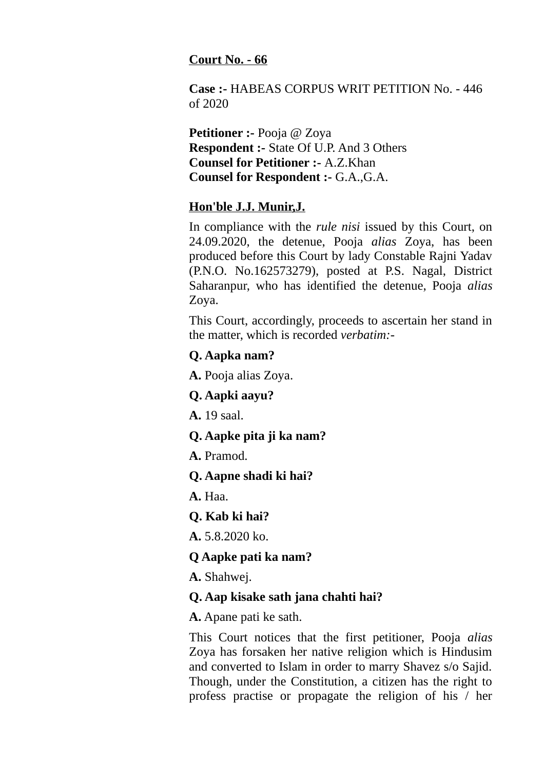#### **Court No. - 66**

**Case :-** HABEAS CORPUS WRIT PETITION No. - 446 of 2020

**Petitioner :- Pooja @ Zoya Respondent :-** State Of U.P. And 3 Others **Counsel for Petitioner :-** A.Z.Khan **Counsel for Respondent :-** G.A.,G.A.

## **Hon'ble J.J. Munir,J.**

In compliance with the *rule nisi* issued by this Court, on 24.09.2020, the detenue, Pooja *alias* Zoya, has been produced before this Court by lady Constable Rajni Yadav (P.N.O. No.162573279), posted at P.S. Nagal, District Saharanpur, who has identified the detenue, Pooja *alias* Zoya.

This Court, accordingly, proceeds to ascertain her stand in the matter, which is recorded *verbatim:-*

#### **Q. Aapka nam?**

**A.** Pooja alias Zoya.

**Q. Aapki aayu?**

**A.** 19 saal.

### **Q. Aapke pita ji ka nam?**

**A.** Pramod.

**Q. Aapne shadi ki hai?**

**A.** Haa.

# **Q. Kab ki hai?**

**A.** 5.8.2020 ko.

### **Q Aapke pati ka nam?**

**A.** Shahwej.

### **Q. Aap kisake sath jana chahti hai?**

**A.** Apane pati ke sath.

This Court notices that the first petitioner, Pooja *alias* Zoya has forsaken her native religion which is Hindusim and converted to Islam in order to marry Shavez s/o Sajid. Though, under the Constitution, a citizen has the right to profess practise or propagate the religion of his / her